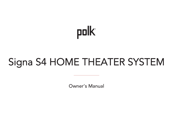# polk

# Signa S4 HOME THEATER SYSTEM

Owner's Manual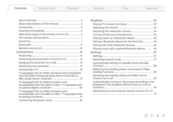<span id="page-1-0"></span>

| About descriptions of this manual  4                                                                  |  |
|-------------------------------------------------------------------------------------------------------|--|
|                                                                                                       |  |
|                                                                                                       |  |
| Operating range of the remote control unit  6                                                         |  |
|                                                                                                       |  |
|                                                                                                       |  |
|                                                                                                       |  |
|                                                                                                       |  |
|                                                                                                       |  |
|                                                                                                       |  |
| Positioning the sound bar in front of a TV  14                                                        |  |
|                                                                                                       |  |
|                                                                                                       |  |
|                                                                                                       |  |
| TV equipped with an HDMI connector and compatible<br>with the eARC (Enhanced Audio Return Channel) or |  |
| TV equipped with an HDMI connector and<br>incompatible with the eARC or ARC / TV equipped with        |  |
| TV equipped with an HDMI connector and<br>incompatible with the eARC or ARC / TV equipped with        |  |
|                                                                                                       |  |

| Turning off the sound temporarily  24                                                                   |  |
|---------------------------------------------------------------------------------------------------------|--|
|                                                                                                         |  |
| Pairing a Bluetooth device for the first time  25                                                       |  |
|                                                                                                         |  |
| Playing music with a paired Bluetooth device  26                                                        |  |
|                                                                                                         |  |
|                                                                                                         |  |
|                                                                                                         |  |
| Automatically setting to standby (Auto standby                                                          |  |
|                                                                                                         |  |
| Reducing the standby power consumption (Deep                                                            |  |
|                                                                                                         |  |
| Switching the standby linking via HDMI control                                                          |  |
| Automatically turning on the power according to the<br>playback of the playback device (Auto on control |  |
| Operating this unit using the remote control of a TV                                                    |  |
|                                                                                                         |  |

 $\hat{m} \leftarrow 2 \rightarrow$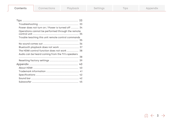| Content |  |
|---------|--|
|         |  |

| Power does not turn on / Power is turned off  34   |    |
|----------------------------------------------------|----|
| Operations cannot be performed through the remote  |    |
| Trouble teaching this unit remote control commands |    |
|                                                    |    |
|                                                    |    |
| Bluetooth playback does not work  37               |    |
| The HDMI control function does not work  38        |    |
| Audio can be heard coming from the TV's speakers   |    |
|                                                    | 38 |
|                                                    |    |
|                                                    |    |
|                                                    |    |
|                                                    |    |
|                                                    |    |
|                                                    |    |
|                                                    |    |

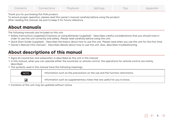<span id="page-3-0"></span>Thank you for purchasing this Polk product.

To ensure proper operation, please read this owner's manual carefully before using the product.

After reading this manual, be sure to keep it for future reference.

# **About manuals**

The following manuals are included on this unit.

- Safety Instructions (supplied)/Cautions on Using Batteries (supplied): Describes careful considerations that you should note in order to use this unit correctly and safety. Please read carefully before using this unit.
- Quick Start Guide (supplied): Describes the basics about how to use this unit. Please read when you use this unit for the first time.
- 0 Owner's Manual (this manual):Describes details about how to use this unit. Also, describes troubleshooting.

# **About descriptions of this manual**

- 0 Signa S4 (sound bar and subwoofer) is described as this unit in this manual.
- 0 In this manual, when you can operate either the sound bar or remote control, the operations for remote control are mainly described.
- The symbols used in this manual have the following meanings.

| <b>NOTE</b> | Information such as the precautions on the use and the function restrictions. |
|-------------|-------------------------------------------------------------------------------|
|             | Information such as supplementary notes that are useful for you to know.      |

• Contents of this unit may be updated without notice.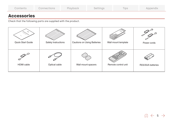<span id="page-4-0"></span>

| Contents | Connections | Playback | Settings | <b>Tips</b> | Appendix |
|----------|-------------|----------|----------|-------------|----------|
|----------|-------------|----------|----------|-------------|----------|

# **Accessories**

÷

Check that the following parts are supplied with the product.

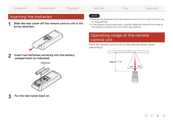# <span id="page-5-0"></span>Inserting the batteries

1 Slide the rear cover off the remote control unit in the arrow direction.



2 Insert two batteries correctly into the battery compartment as indicated.



Put the rear cover back on.

# NOTE

- 0 Remove the batteries from the remote control unit if it will not be in use for long periods.
- 0 If the battery fluid should leak, carefully wipe the fluid off the inside of the battery compartment and insert new battery.

# Operating range of the remote control unit

Point the remote control unit at the remote sensor when operating it.



 $6 \leftrightarrow 6$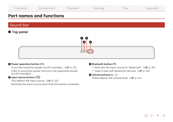<span id="page-6-0"></span>

| Playback<br>Settings<br>Connections<br>Contents<br>lips |
|---------------------------------------------------------|
|---------------------------------------------------------|

# **Part names and functions**

# Sound bar

# **Top panel**



### $\bullet$  Power operation button ( $\circ$ )

Turns the sound bar power on/off (standby). ( $\mathbb{Q}$  p. 23) Links to sound bar power and turns the subwoofer power on/off (standby).

### $\bm{2}$  input source button ( $\bm{\ominus}$ )

This selects the input source. ( $\sqrt{2}$  p. [23\)](#page-22-0) Switches the input source each time the button is pressed.

### $\bigcirc$  Bluetooth button ( $\ast$ )

- Switches the input source to "Bluetooth". ( $\mathbb{Q}$  p. 25)
- Used to pair with Bluetooth devices. ( $\mathbb{Q}$  p. [25\)](#page-24-0)

### $\bullet$  Volume buttons  $(+, -)$

These adjusts the [v](#page-23-0)olume level. ( $\sqrt{p}$  p. 24)

$$
\text{M} \leftarrow \text{1} \rightarrow
$$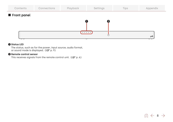

### **O** Status LED

The status, such as for the power, input source, audio format, or sound mode is displayed.  $(\sqrt{p} \cdot p. 9)$ 

### **B** Remote control sensor

This recei[v](#page-5-0)es signals from the remote control unit. ( $\mathbb{C}$ Pp. 6)

$$
\text{min} \gets \text{ s } \rightarrow
$$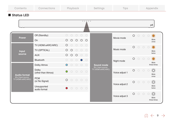<span id="page-8-0"></span>

| Contents                                   | Connections                                                 | Playback                                                                                                                                                                                  | Settings                                                                                             | Tips                      | Appendix                                                                          |
|--------------------------------------------|-------------------------------------------------------------|-------------------------------------------------------------------------------------------------------------------------------------------------------------------------------------------|------------------------------------------------------------------------------------------------------|---------------------------|-----------------------------------------------------------------------------------|
| Status LED                                 |                                                             |                                                                                                                                                                                           |                                                                                                      |                           |                                                                                   |
|                                            |                                                             |                                                                                                                                                                                           | $\begin{array}{ccccccccccccccccc} \circ & \circ & \circ & \circ & \circ & \circ & \circ \end{array}$ |                           | polk                                                                              |
| <b>Power</b>                               | Off (Standby)<br>On                                         | $\bigcirc$<br>$\circ$<br>$\bigcirc$<br>$\circ$<br>$\circ$<br>$\circ$<br>$\circ$<br>$\circ$<br>$\circ$<br>$\circ$                                                                          |                                                                                                      | $\circ$<br>Movie mode     | $\odot$<br>$\bigcirc$<br>$\circlearrowright$<br>$\circ$<br><b>Blink</b><br>once   |
| <b>Input</b><br>source                     | TV (HDMI eARC/ARC)<br>TV (OPTICAL)<br><b>AUX</b>            | $\circ$<br>$\bigcirc$<br>$\bigcirc$<br>$\bigcirc$<br>$\bigcirc$<br>$\circ$<br>$\bigcirc$<br>$\bigcirc$<br>$\circ$<br>$\bigcirc$<br>$\circ$<br>$\circ$<br>$\circ$<br>$\circ$<br>$\bigcirc$ |                                                                                                      | $\circ$<br>Music mode     | $\odot$<br>$\bigcirc$<br>$\bigcirc$<br>$\circ$<br><b>Blink</b><br>twice           |
|                                            | Bluetooth<br>Dolby Atmos                                    | ○<br>∩<br>$\bigcirc$<br>$\bigcirc$<br>$\circ$<br>$\bigcirc$<br>$\circ$                                                                                                                    | <b>Sound mode</b>                                                                                    | $\circ$<br>Night mode     | $\odot$<br>$\bigcirc$<br>$\bigcirc$<br>$\circ$<br><b>Blink</b><br>three times     |
| <b>Audio format</b><br>[Ex.] Input source: | Dolby<br>(other than Atmos)                                 | $\bigcirc$<br>$\bigcirc$<br>$\bigcirc$<br>$\circ$<br>$\bigcap$                                                                                                                            | [Ex.] Input source:<br>TV (HDMI eARC/ARC)                                                            | $\circ$<br>Voice adjust 1 | $\circledcirc$<br>$\bigcirc$<br>$\bigcirc$<br>$\bigcirc$<br><b>Blink</b><br>once  |
| TV (HDMI eARC/ARC)                         | <b>PCM</b><br>(or No Signal)<br>Unsupported<br>audio format | $\circ$<br>$\bigcirc$<br>$\bigcirc$<br>$\bigcirc$<br>$\bigcirc$<br>$\circ$<br>$\circ$<br>$\circ$<br>$\circ$<br>$\bullet$                                                                  |                                                                                                      | $\circ$<br>Voice adjust 2 | $\circledcirc$<br>$\bigcirc$<br>$\bigcirc$<br>$\bigcirc$<br><b>Blink</b><br>twice |
|                                            |                                                             |                                                                                                                                                                                           |                                                                                                      | $\circ$<br>Voice adjust 3 | $\circledcirc$<br>$O$ $O$<br>$\circ$<br><b>Blink</b><br>three times               |

 $\text{m} \leftarrow$  9  $\rightarrow$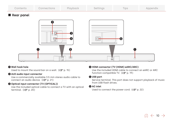

### A Wall hook hole

Used to mount the sound bar on a wall. ( $\mathbb{F}_p$  p. 15)

### **AUX audio input connector**

Use a commercially available 3.5 mm stereo audio cable to connect an audio de[v](#page-20-0)ice. ( $\sqrt{p}$  p. 21)

### **Optical input connector (TV (OPTICAL))**

Use the included optical cable to connect a TV with an optical terminal. ( $\sqrt{p}$  p. [20\)](#page-19-0)

### D HDMI connector (TV (HDMI) eARC/ARC)

Use the included HDMI cable to connect an eARC or ARC function-compatible TV. ( $\mathbb{Q}$  p. 19)

### **O** USB port

Service terminal. This port does not support playback of music from USB flash drives.

### **M** AC inlet

Used to connect the power cord. ( $\mathbb{F}$  p. 22)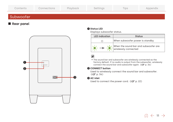<span id="page-10-0"></span>

| Contents  | Connections | Playback | Settings | Tips | Appendix |
|-----------|-------------|----------|----------|------|----------|
| Subwoofer |             |          |          |      |          |

# Rear panel



## **O** Status LED

Displays subwoofer status.

| <b>LED</b> indication | <b>Status</b>                                                |
|-----------------------|--------------------------------------------------------------|
|                       | When subwoofer power is standby                              |
|                       | When the sound bar and subwoofer are<br>wirelessly connected |

0 The sound bar and subwoofer are wirelessly connected as the factory default. If no audio is output from the subwoofer, wirelessly connect the sound bar and subwoofer again. ( $\sqrt{p}$  p. [36\)](#page-35-0)

### CONNECT button

Used to wirelessly connect the sound bar and subwoofer. (图 p. [36\)](#page-35-0)

# **D** AC inlet

Used to connect the power cord. ( $\mathbb{F}$  p. 22)

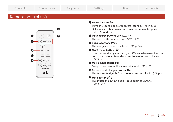# <span id="page-11-0"></span>Remote control unit



## $\bigcirc$  Power button ( $\bigcirc$ )

Turns the sound bar power on/off (standby). ( $\mathbb{P}$  p. [23\)](#page-22-0) Links to sound bar power and turns the subwoofer power on/off (standby).

# $\bullet$  Input source buttons (TV, AUX,  $\ast$ )

This selects the input source. ( $\mathbb{Q}$  p. 23)

### $\bigcirc$  Volume buttons (VOL +, -) These adjusts the [v](#page-23-0)olume level. ( $\sqrt{p}$  p. 24)

 $\bullet$  Night mode button ( $\circ$ )

Compresses the dynamic range (difference between loud and soft sounds) to make audio easier to hear at low volumes. (图 p. 27)

# **B** Movie mode button (8)

Enjoy mo[v](#page-26-0)ie theater-like surround sound. ( $\mathbb{Q}_F$  p. 27)

### **B** Remote control signal transmitter

This transmits signals from the remote control unit. ( $\mathbb{F}$  p. 6)

# $\bm{\Phi}$  Mute button ( $\cancel{\triangleleft}$  )

This mutes the output audio. Press again to unmute. (vp. [24\)](#page-23-0)

$$
\widehat{\ln}\,\leftarrow\,\mathbf{12}\,\rightarrow
$$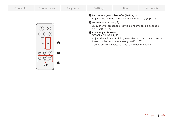| Contents | Connections                                                                                      | Playback | Settings                                                                                                                   | <b>Tips</b>                                                                                                                                                                                                                                                                                                                                               | Appendix |
|----------|--------------------------------------------------------------------------------------------------|----------|----------------------------------------------------------------------------------------------------------------------------|-----------------------------------------------------------------------------------------------------------------------------------------------------------------------------------------------------------------------------------------------------------------------------------------------------------------------------------------------------------|----------|
|          | $\mathbb{X}$<br>AUX<br>TV<br>┿<br>$\pm$<br>8<br>BASS<br>VOL<br><b>VOICE ADJUST</b><br>40<br>polk |          | <b>O</b> Music mode button $(J)$<br>field. $(\sqrt{2})$ p. 27)<br><b>10 Voice adjust buttons</b><br>(VOICE ADJUST 1, 2, 3) | <b>@ Button to adjust subwoofer (BASS +, -)</b><br>Adjusts the volume level for the subwoofer. ( $\sqrt{2}$ p. 24)<br>Enjoy the full presence of a wide, encompassing acoustic<br>Adjust the volume of dialog in movies, vocals in music, etc. so<br>these can be heard more easily. (LF p. 27)<br>Can be set to 3 levels. Set this to the desired value. |          |

# $\hat{m}$   $\leftarrow$  13  $\rightarrow$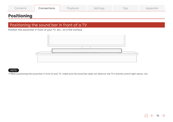<span id="page-13-0"></span>

| Contents | Connections | Playback | Settings | $-$<br>IDS | Appendix |
|----------|-------------|----------|----------|------------|----------|
|----------|-------------|----------|----------|------------|----------|

# **Positioning**

# Positioning the sound bar in front of a TV

Position the sound bar in front of your TV, etc., on a flat surface.



### NOTE

0 When positioning the sound bar in front of your TV, make sure the sound bar does not obstruct the TV's remote control light sensor, etc.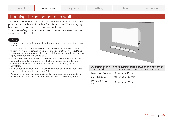# <span id="page-14-0"></span>Hanging the sound bar on a wall

The sound bar can be mounted on a wall using the two keyholes provided on the back of the bar for this purpose. When hanging bar on a wall, position it in a flat, vertical position.

To ensure safety, it is best to employ a contractor to mount the sound bar on the wall.

### NOTE

- 0 In order to use the unit safely, do not place items on or hang items from the unit.
- 0 Do not attempt to install the sound bar onto a wall made of material that may crumble easily, such as mortar or decorative plywood. Doing so may result in the screw pulling out and the sound bar falling, causing injury or damage to the sound bar.
- 0 Be sure to fix connection cables to the wall to ensure that the cables cannot be pulled or tripped over, which may cause the unit to fall. Check that the unit is mounted safely after the mounting work is complete.
- 0 Also, periodically check that the unit is mounted solidly and that there is no possibility that the unit could fall.
- 0 Polk cannot accept any responsibility for damage, injury or accidents caused by problems with the mounting location or mounting method.



| (A) Depth of the<br>mounted TV | (B) Required space between the bottom of<br>the TV and the top of the sound bar |
|--------------------------------|---------------------------------------------------------------------------------|
| Less than 64 mm l              | More than 50 mm                                                                 |
| $64 - 102$ mm                  | More than 102 mm                                                                |
| More than 102<br>mm            | More than 191 mm                                                                |

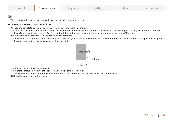0 When hanging the sound bar on a wall, use the included wall mount template.

### How to use the wall mount template

A Tape the template to the location you would like to mount the sound bar.

Leave enough space between the TV and the sound bar so that the sound from the Atmos speakers on the top of the bar, which projects towards the ceiling, is not blocked by the TV. Refer to the table on the pre[v](#page-14-0)ious page for spacing recommendations. ( $\mathbb{F}_p$  p. 15)

 $\Omega$  Screw in the wall mount screws by following the template.

Screw in one self-tapping screw (commercially available, 5 mm to 6 mm diameter) into a wall that has sufficient strength to support the weight of the sound bar, or into reinforcing material on the wall.



(3) Remove the template from the wall.

D Mount the included wall mount spacers on the back of the sound bar.

The wall mount spacers create a space for cords to pass through between the sound bar and the wall. E Hang the sound bar on the screws.

$$
\text{m} \gets \text{16} \to
$$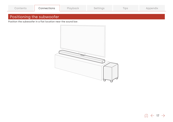<span id="page-16-0"></span>

| Playback<br>Connections<br>Contents<br>Appendix<br><b>IDS</b><br>settings |  |
|---------------------------------------------------------------------------|--|
|---------------------------------------------------------------------------|--|

# Positioning the subwoofer

Position the subwoofer in a flat location near the sound bar.

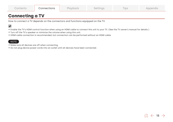<span id="page-17-0"></span>

| $\mathcal L$ ontents | Connections | Playback | Settinas | $-$<br>IDS | Appendix |
|----------------------|-------------|----------|----------|------------|----------|
|----------------------|-------------|----------|----------|------------|----------|

# **Connecting a TV**

How to connect a TV depends on the connectors and functions equipped on the TV.

# $\overline{\mathscr{E}}$

- 0 Enable the TV's HDMI control function when using an HDMI cable to connect this unit to your TV. (See the TV owner's manual for details.)
- 0 Turn off the TV's speaker or minimize the volume when using this unit.
- 0 HDMI cable connection is recommended, but connection can be performed without an HDMI cable.

### **NOTE**

- 0 Make sure all devices are off when connecting.
- 0 Do not plug device power cords into an outlet until all devices have been connected.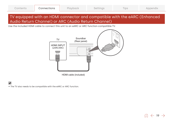$\widehat{10}$   $\leftarrow$  19  $\rightarrow$ 

# <span id="page-18-0"></span>TV equipped with an HDMI connector and compatible with the eARC (Enhanced Audio Return Channel) or ARC (Audio Return Channel)

Use the included HDMI cable to connect this unit to an eARC or ARC function-compatible TV.



HDMI cable (included)

• The TV also needs to be compatible with the eARC or ARC function.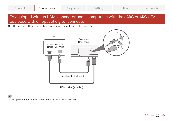# <span id="page-19-0"></span>TV equipped with an HDMI connector and incompatible with the eARC or ARC / TV equipped with an optical digital connector

Use the included HDMI and optical cables to connect this unit to your TV.



HDMI cable (included)

• Line up the optical cable with the shape of the terminal to insert.

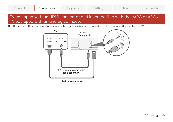# <span id="page-20-0"></span>TV equipped with an HDMI connector and incompatible with the eARC or ARC / TV equipped with an analog connector

Use the included HDMI cable and a commercially available 3.5 mm stereo audio cable to connect this unit to your TV.



HDMI cable (included)

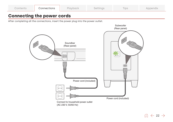<span id="page-21-0"></span>

| Contents | Connections | Playback | Settinas | $-1$<br>IDS | Appendix |
|----------|-------------|----------|----------|-------------|----------|
|----------|-------------|----------|----------|-------------|----------|

# **Connecting the power cords**

After completing all the connections, insert the power plug into the power outlet.



 $\hat{m}$   $\leftarrow$  22  $\rightarrow$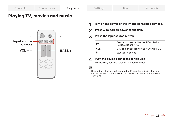<span id="page-22-0"></span>

|  | <i>c</i> ontents | <b>innections</b> | Playback | ™lnaJ | $-$<br>IDS | Appendix |
|--|------------------|-------------------|----------|-------|------------|----------|
|--|------------------|-------------------|----------|-------|------------|----------|

# **Playing TV, movies and music**



- 1 Turn on the power of the TV and connected devices.
- 2 Press  $\Phi$  to turn on power to the unit.

### 3 Press the input source button.

| TV:  | Device connected to the TV ((HDMI)<br>eARC/ARC, OPTICAL) |
|------|----------------------------------------------------------|
| AUX: | Device connected to the AUX(ANALOG)                      |
| *    | Bluetooth device                                         |

## $\Delta$  Play the device connected to this unit.

For details, see the relevant device manual.

0 Connect an HDMI control-compatible TV and this unit via HDMI and enable the HDMI control to enable linked control from either device. ([v](#page-39-0)p. 40)

$$
\text{m} \gets \text{23} \to
$$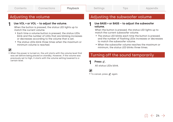# <span id="page-23-0"></span>Adjusting the volume

## Use VOL + or VOL – to adjust the volume.

When the button is pressed, the status LED lights up to match the current volume.

- 0 Each time a volume button is pressed, the status LEDs blink and the number of LEDs that are blinking increases or decreases according to the volume that is set.
- 0 The status LEDs blink three times when the maximum or minimum volume is reached.

1

0 When the power is turned on, the unit starts with the volume level that was set before being placed on standby. However, if the volume was previously set to high, it starts with the volume setting lowered to a certain level.

# Adjusting the subwoofer volume

### 1 Use BASS + or BASS – to adjust the subwoofer volume.

When the button is pressed, the status LED lights up to match the current subwoofer volume.

- The status LED blinks each time the button is pressed, and the number of flashing LEDs increases or decreases to match the subwoofer volume.
- 0 When the subwoofer volume reaches the maximum or minimum, the status LED blinks three times.

# Turning off the sound temporarily

### 1 Press  $\mathcal{A}$ .

All status LEDs blink.



• To cancel, press of again.

$$
\text{m} \gets 24 \to
$$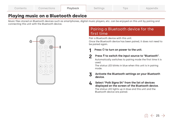<span id="page-24-0"></span>

| Contents | Connections | Playback | Settinas | $-$<br>IDS | Appendix |
|----------|-------------|----------|----------|------------|----------|
|----------|-------------|----------|----------|------------|----------|

# **Playing music on a Bluetooth device**

Music files stored on Bluetooth devices such as smartphones, digital music players, etc. can be enjoyed on this unit by pairing and connecting this unit with the Bluetooth device.



# Pairing a Bluetooth device for the first time

Pair a Bluetooth device with this unit.

Once the Bluetooth device has been paired, it does not need to be paired again.

### 1 Press  $\Phi$  to turn on power to the unit.

### 2 Press  $*$  to switch the input source to "Bluetooth".

Automatically switches to pairing mode the first time it is used.

The status LED blinks in blue when this unit is in pairing mode.

### 3 Activate the Bluetooth settings on your Bluetooth device.

### **4** Select "Polk Signa S4" from the list of devices displayed on the screen of the Bluetooth device.

The status LED lights up in blue and this unit and the Bluetooth device are paired.

 $\odot$   $\leftarrow$  25  $\rightarrow$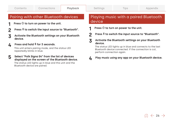# <span id="page-25-0"></span>Pairing with other Bluetooth devices

- 1 Press  $\Phi$  to turn on power to the unit.
- $\boldsymbol{c}$ Press  $\frac{1}{2}$  to switch the input source to "Bluetooth".
- 3 Activate the Bluetooth settings on your Bluetooth device.
- $\boldsymbol{\Lambda}$  Press and hold  $\hat{*}$  for 3 seconds.

This unit enters pairing mode, and the status LED repeatedly blinks in blue.

5 Select "Polk Signa S4" from the list of devices displayed on the screen of the Bluetooth device.

The status LED lights up in blue and this unit and the Bluetooth device are paired.

# Playing music with a paired Bluetooth device

- 1 Press  $\Phi$  to turn on power to the unit.
- 2 Press  $\hat{\mathcal{F}}$  to switch the input source to "Bluetooth".
- 3 Activate the Bluetooth settings on your Bluetooth device.

The status LED lights up in blue and connects to the last Bluetooth device connected. If the connection is cut, perform connection again.

A Play music using any app on your Bluetooth device.

$$
\text{m} \gets 26 \to
$$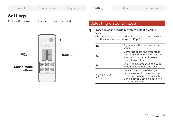<span id="page-26-0"></span>

| Contents        | Connections | Playback | Settings | <b>Tips</b> | Appendix |
|-----------------|-------------|----------|----------|-------------|----------|
| <b>Settings</b> |             |          |          |             |          |

# **Settings**

Perform the below operations and settings as needed.



# Selecting a sound mode

### 1 Press the sound mode button to select a sound mode.

When the button is pressed, the rightmost status LED blinks and the sound mode changes. ( $\mathbb{F}$  p. 9)

|                                  | Enjoy movie theater-like surround<br>sound.                                                                                                                        |
|----------------------------------|--------------------------------------------------------------------------------------------------------------------------------------------------------------------|
|                                  | Compresses the dynamic range<br>(difference between loud and soft<br>sounds) to make audio easier to<br>hear at low volumes.                                       |
| п.                               | Enjoy the full presence of a wide,<br>encompassing acoustic field.                                                                                                 |
| <b>VOICE ADJUST</b><br>$1/2/3$ : | Adjust the volume of dialog in<br>movies, vocals in music, etc. so<br>these can be heard more easily.<br>Can be set to 3 levels. Set this to<br>the desired value. |
|                                  |                                                                                                                                                                    |

 $\hat{m}$   $\leftarrow$  27  $\rightarrow$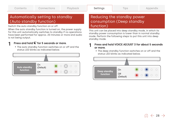1

# <span id="page-27-0"></span>Automatically setting to standby (Auto standby function)

Switch the auto standby function on or off.

When the auto standby function is turned on, the power supply for this unit automatically switches to standby if no operations have been performed for approx. 20 minutes or more and audio is not being output.

# Press and hold  $\mathfrak C$  for 5 seconds or more.

0 The auto standby function switches on or off and the status LED blinks as indicated below.



# Reducing the standby power consumption (Deep standby function)

This unit can be placed into deep standby mode, in which its standby power consumption is lower than in normal standby mode. Perform the following steps to put this unit into deep standby mode.

### 1 Press and hold VOICE ADJUST 3 for about 5 seconds or more.

• The deep standby function switches on or off and the status LED blinks as indicated below.



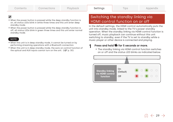- <span id="page-28-0"></span>• When the power button is pressed while the deep standby function is on, all status LEDs blink in white three times and this unit enter deep standby mode.
- 0 When the power button is pressed while the deep standby function is off, all status LEDs blink in green three times and this unit enter normal standby mode.

### NOTE

- When this unit is in deep standby mode, it cannot be turned on by performing streaming operations with a Bluetooth connection.
- 0 When this unit is in deep standby mode, the auto on control function of the optical and AUX inputs cannot turn on the unit. ( $\sqrt{p}$  p. 30)

# Switching the standby linking via HDMI control function on or off

In the default settings, the HDMI control automatically puts the unit into standby mode, linked to the TV's power standby operation. When the standby linking via HDMI control function is turned off, music playback can continue without this unit switching to standby, even if the TV is set to standby while a music player or other device is connected and playing.

### 1 Press and hold  $\mathfrak{B}$  for 5 seconds or more.

• The standby linking via HDMI control function switches on or off and the status LED blinks as indicated below.



 $\widehat{10}$   $\leftarrow$  29  $\rightarrow$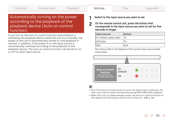1

 $\odot$   $\leftarrow$  30  $\rightarrow$ 

# <span id="page-29-0"></span>Automatically turning on the power according to the playback of the playback device (Auto on control function)

If you turn on the auto on control function and playback is started by the playback device while this unit is on standby, the power of this unit is automatically turned on and playback is started. In addition, if the power is on, the input source is automatically switched according to the playback of the playback device. The auto on control function can be set to on or off for each input source.

Switch to the input source you want to set.

 $\mathbf{c}$ On the remote control unit, press the button that corresponds to the input source you want to set for five seconds or longer.

| Input source       | Button     |
|--------------------|------------|
| TV (HDMI) eARC/ARC | ITV        |
| OPTICAL            |            |
| AUX                | <b>AUX</b> |

The status LEDs in the display of the current input source blink three times.



- 0 Even if the auto on control function is on for the optical input or AUX input, the input source will not switch automatically during HDMI (eARC/ARC) playback.
- 0 When this unit is in deep standby mode, the auto on control function of the optical and AUX inputs cannot turn on the unit. ( $\mathbb{Q}$  p. [28\)](#page-27-0)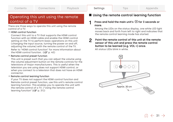# <span id="page-30-0"></span>Operating this unit using the remote control of a TV

There are three ways to operate this unit using the remote control of a TV.

### • HDMI control function

Connect this unit to a TV that supports the HDMI control function with an HDMI cable and enable the HDMI control setting on the TV to perform basic operations on this unit (changing the input source, turning the power on and off, adjusting the volume) with the remote control of the TV. Refer to "HDMI control function" for more information about the HDMI control function. ( $\mathbb{P}$ P p. 40)

### Remote control preset function

This unit is preset such that you can adjust the volume using the volume adjustment button on the remote controls for the televisions of major manufacturers. This is useful when the television you are using does not support HDMI control, or when you connect to a television that does not have an HDMI connector.

### • Remote control learning function

If your TV does not support the HDMI control function and Remote control preset function, use this unit's remote control learning function. This enables you to operate this unit with the remote control of a TV. ("Using the remote control learning function" ( $\mathbb{F}$  p. 31))

# Using the remote control learning function

### 1 Press and hold the main unit's  $\overline{\trianglelefteq}$  for 3 seconds or more.

Among the LEDs on the status display, one white LED light moves back and forth from left to right and indicates that the remote control learning mode has started.

### 2 Point the remote control of this unit at the remote sensor of this unit and press the remote control button to be learned (e.g. VOL +) once.

All status LEDs blink in white.



 $\widehat{10}$   $\leftarrow$  31  $\rightarrow$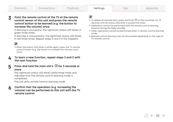### 3 Point the remote control of the TV at the remote control sensor of this unit and press the remote control button to be learned (e.g. the button to increase the volume) once.

If learning is successful, the rightmost status LED blinks in green three times.

If learning is unsuccessful, the rightmost status LED blinks in red three times. Repeat steps 2 and 3 if this happens.

# $\overline{\mathscr{L}}$

0 When the status LEDs blink in white again, press the TV remote control button (e.g. the button to increase the volume) once more.

### $\Delta$  To learn a new function, repeat steps 2 and 3 with the next function.

# **5** Press and hold the main unit's  $\overline{\triangle}$  for 3 seconds or more.

The rightmost status LED blinks white three times and indicates that the remote control learning mode is completed.

The unit exits remote control learning mode.

### 6 Confirm that the operation (e.g. increasing the volume) can be performed on this unit with the TV remote control.

- $\bullet$  To delete all learned data, press and hold  $\overline{\trianglelefteq}$  on the sound bar for 10 seconds until all status LEDs blink in purple five times.
- 0 Operations cannot be performed with the remote control learning function during the Deep standby.
- 0 Other operations cannot be performed when in remote control learning mode.
- 0 Remote control learning may not be possible depending on the type of TV remote control.

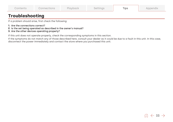<span id="page-32-0"></span>

| Contents | Connections | Playback | Settings | --<br>l Ips | Appendix |
|----------|-------------|----------|----------|-------------|----------|
|----------|-------------|----------|----------|-------------|----------|

# **Troubleshooting**

If a problem should arise, first check the following:

- **1.** Are the connections correct?
- **2.** Is the set being operated as described in the owner's manual?
- **3.** Are the other devices operating properly?

If this unit does not operate properly, check the corresponding symptoms in this section.

If the symptoms do not match any of those described here, consult your dealer as it could be due to a fault in this unit. In this case, disconnect the power immediately and contact the store where you purchased this unit.

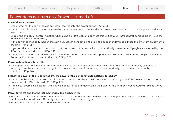# <span id="page-33-0"></span>Power does not turn on / Power is turned off

### Power does not turn on.

- Check whether the power plug is correctly inserted into the power outlet. ( $\mathbb{F}$  p. 22)
- $\bullet$  If the power of this unit cannot be turned on with the remote control for the TV, press the  $\Phi$  button to turn on the power of this unit. (vp. [40\)](#page-39-0)
- 0 Enable the TV's HDMI control function when using an HDMI cable to connect this unit to your HDMI control-compatible TV. (See the TV owner's manual for details.)
- $\bullet$  If the power cannot be turned on through a Bluetooth connection, this is in the deep standby mode. Press the  $\emptyset$  to turn on power to the unit.  $(\sqrt{p})$  p. [28\)](#page-27-0)
- 0 If you set the auto on control function to off, the power of this unit will not automatically turn on even if playback is started by the TV or the playback device. ( $\mathbb{C}$ P p. [30\)](#page-29-0)
- If the power cannot be turned on using the auto on control function of the optical and AUX inputs, this is in the deep standby mode. Press the  $\theta$  to turn on power to the unit. ( $\mathbb{F}$  p. 30)

### Power automatically turns off.

0 If no operations have been performed for 20 minutes or more and audio is not being input, this unit automatically switches to standby. Turn this unit's power on again. To prevent the power from turning off automatically, turn off the auto standby function.  $(\sqrt{p})$  p. [28\)](#page-27-0)

### Even if the power of the TV is turned off, the power of this unit is not automatically turned off.

- 0 If the standby linking via HDMI control function is turned off, this unit will not switch to standby even if the power of the TV that is connected via HDMI is turned off.  $(\mathbb{F}P P. 29)$  $(\mathbb{F}P P. 29)$
- 0 If the input source is Bluetooth, this unit will not switch to standby even if the power of the TV that is connected via HDMI is turned off.

### Power turns off and the the left most status LED flashes in red.

- 0 The protection circuit has been activated due to a rise in temperature within sound bar. Unplug the power cord, wait about an hour until this unit cools down sufficiently, and then turn the power on again.
- Turn on the power again and turn down the volume.

 $\hat{m} \leftarrow 34 \rightarrow$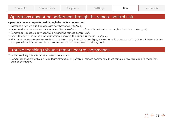# <span id="page-34-0"></span>Operations cannot be performed through the remote control unit

### Operations cannot be performed through the remote control unit.

- Batteries are worn out. Replace with new batteries. ( $\mathbb{F}$  p. 6)
- Operate the remote control unit within a distance of about 7 m from this unit and at an angle of within 30°. ( $\mathbb{F}_p$  p. 6)
- Remove any obstacle between this unit and the remote control unit.
- Insert the batteries in the proper direction, checking the  $\oplus$  and  $\ominus$  marks. ( $\mathbb{Z}$  p. 6)
- 0 This unit's remote control sensor is exposed to strong light (direct sunlight, inverter type fluorescent bulb light, etc.). Move this unit to a place in which the remote control sensor will not be exposed to strong light.

# Trouble teaching this unit remote control commands

### Trouble teaching this unit remote control commands.

0 Remember that while this unit can learn almost all IR (infrared) remote commands, there remain a few rare code formats that cannot be taught.

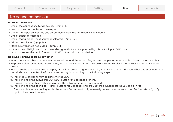<span id="page-35-0"></span>

| Contents | Connections | Playback | Settings | <b>IDS</b> | Appendix |
|----------|-------------|----------|----------|------------|----------|
|----------|-------------|----------|----------|------------|----------|

# No sound comes out

### No sound comes out.

- Check the connections for all de[v](#page-17-0)ices. ( $\mathbb{F}$  p. 18)
- Insert connection cables all the way in.
- 0 Check that input connectors and output connectors are not reversely connected.
- Check cables for damage.
- Check that a proper input source is selected. ( $\mathbb{Q}$ Pp. 23)
- Adjust the [v](#page-23-0)olume.  $(\sqrt{p} \cdot 24)$
- Make sure [v](#page-23-0)olume is not muted. ( $\mathbb{Q}$  p. 24)
- **•** If the status LED lights up in red, an audio signal that is not supported by this unit is input. ( $\mathbb{F}$  refer 0. 9) In that case, set the audio format to "PCM" on the audio output device.

### No sound is produced from subwoofer.

- 0 When there is an obstacle between the sound bar and the subwoofer, remove it or place the subwoofer closer to the sound bar.
- 0 To prevent electromagnetic interference, locate this unit away from microwave ovens, wireless LAN devices and other Bluetooth devices.
- Make sure the subwoofer status display LED is lit in green. If lights are not lit, it may indicate that the sound bar and subwoofer are not wirelessly connected. Perform connection again according to the following steps.
	- $\circ$  Press the  $\circledcirc$  button to turn on power to the unit.
- (2) Press and hold the subwoofer CONNECT button for 3 seconds or more.
	- The subwoofer status LED blinks in green, the subwoofer enters pairing mode.
- (3) Press and hold the sound bar  $\sqrt[8]{}$  and + buttons for 5 seconds or more until the soundbar status LED blinks in red.

The sound bar enters pairing mode, the subwoofer automatically wirelessly connects to the sound bar. Perform steps  $(i)$  to  $(i)$ again if they do not connect.

$$
\widehat{\mathbb{M}}\,\in\,\mathsf{36}\,\Rightarrow
$$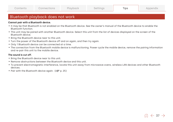# <span id="page-36-0"></span>Bluetooth playback does not work

### Cannot pair with a Bluetooth device.

- 0 It may be that Bluetooth is not enabled on the Bluetooth device. See the owner's manual of the Bluetooth device to enable the Bluetooth function.
- 0 This unit may be paired with another Bluetooth device. Select this unit from the list of devices displayed on the screen of the Bluetooth device.
- Bring the Bluetooth device near to this unit.
- 0 Turn the power of the Bluetooth device off and on again, and then try again.
- Only 1 Bluetooth device can be connected at a time.
- The connection from the Bluetooth mobile device is malfunctioning. Power cycle the mobile device, remove the pairing information and re-pair this unit to the mobile device.

### The sound is cut off.

- Bring the Bluetooth device near to this unit.
- Remove obstructions between the Bluetooth device and this unit.
- 0 To prevent electromagnetic interference, locate this unit away from microwave ovens, wireless LAN devices and other Bluetooth devices.
- Pair with the Bluetooth de[v](#page-24-0)ice again.  $(\sqrt{p} R)^2$  p. 25)

# $\widehat{10}$   $\leftarrow$  37  $\rightarrow$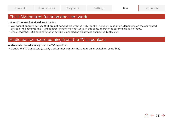$\widehat{10}$   $\leftarrow$  38  $\rightarrow$ 

# <span id="page-37-0"></span>The HDMI control function does not work

### The HDMI control function does not work.

- 0 You cannot operate devices that are not compatible with the HDMI control function. In addition, depending on the connected device or the settings, the HDMI control function may not work. In this case, operate the external device directly.
- 0 Check that the HDMI control function setting is enabled on all devices connected to this unit.

# Audio can be heard coming from the TV's speakers

### Audio can be heard coming from the TV's speakers.

0 Disable the TV's speakers (usually a setup-menu option, but a rear-panel switch on some TVs).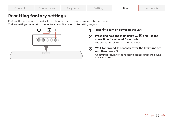<span id="page-38-0"></span>

| Contents | Connections | Playback | Settings | Tips | Appendix |
|----------|-------------|----------|----------|------|----------|
|----------|-------------|----------|----------|------|----------|

# **Resetting factory settings**

Perform this procedure if the display is abnormal or if operations cannot be performed. Various settings are reset to the factory default values. Make settings again.



### 1 Press  $\Phi$  to turn on power to the unit.

2 Press and hold the main unit's  $\mathcal{O}, \overline{\trianglelefteq}$  and + at the same time for at least 5 seconds.

The status LED blinks in red three times.

### 3 Wait for around 10 seconds after the LED turns off and then press  $\mathcal{O}$ .

All settings return to the factory settings after the sound bar is restarted.

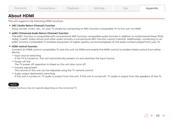# <span id="page-39-0"></span>**About HDMI**

This unit supports the following HDMI functions.

### 0 ARC (Audio Return Channel) function

Enjoy movies, music, etc., on your TV simply by connecting an ARC function-compatible TV to this unit via HDMI.

### 0 eARC (Enhanced Audio Return Channel) function

The eARC function is compatible with conventional ARC function compatible audio formats in addition to multichannel linear PCM, Dolby TrueHD, Dolby Atmos and other audio formats a conventional ARC function cannot transmit. Additionally, connecting to an eARC function-compatible TV enables enjoyment of higher-quality surround playback of the audio content played from your TV.

### 0 HDMI control function

Connect an HDMI control-compatible TV and this unit via HDMI and enable the HDMI control to enable linked control from either device.

- Input source switching If the TV is turned on, this unit automatically powers on and switches the input source.
- Power off link

The TV power off operation is linked so this unit also turns off.

• Volume adjustment

The volume of this unit can be adjusted using the TV remote control.

• Audio output destination switching

If this unit is turned on, TV audio is output from this unit. If this unit is turned off, TV audio is output from the speakers of the TV.

# NOTE

0 Some functions may not operate depending on the connected TV.

$$
\widehat{\mathbb{A}} \hspace{0.1cm} \gets \hspace{0.1cm} 40 \hspace{0.1cm} \to \hspace{0.1cm}
$$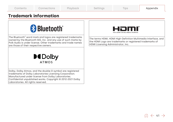<span id="page-40-0"></span>

| Contents | Connections | Playback | Settings | $-$<br>IDS | Appendix |
|----------|-------------|----------|----------|------------|----------|
|----------|-------------|----------|----------|------------|----------|

# **Trademark information**

# **& Bluetooth**®

The Bluetooth® word mark and logos are registered trademarks owned by the Bluetooth SIG, Inc. and any use of such marks by Polk Audio is under license. Other trademarks and trade names are those of their respective owners.



Dolby, Dolby Atmos, and the double-D symbol are registered trademarks of Dolby Laboratories Licensing Corporation. Manufactured under license from Dolby Laboratories. Confidential unpublished works. Copyright © 2012-2021 Dolby Laboratories. All rights reserved.



The terms HDMI, HDMI High-Definition Multimedia Interface, and the HDMI Logo are trademarks or registered trademarks of HDMI Licensing Administrator, Inc.

 $\hat{m} \leftarrow 41 \rightarrow$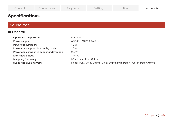<span id="page-41-0"></span>

| Contents | Connections | Playback | Settings | Tips | Appendix |
|----------|-------------|----------|----------|------|----------|
|----------|-------------|----------|----------|------|----------|

# **Specifications**

# Sound bar

# ■ General

| <b>Operating temperature:</b>           | $5^{\circ}$ C - 35 $^{\circ}$ C                                          |
|-----------------------------------------|--------------------------------------------------------------------------|
| Power supply:                           | AC 100 - 240 V, 50/60 Hz                                                 |
| Power consumption:                      | 40 W                                                                     |
| Power consumption in standby mode:      | 1.5W                                                                     |
| Power consumption in deep standby mode: | 0.3 W                                                                    |
| Max Analog Input:                       | 2 Vrms                                                                   |
| Sampling frequency:                     | 32 kHz, 44.1 kHz, 48 kHz                                                 |
| Supported audio formats:                | Linear PCM, Dolby Digital, Dolby Digital Plus, Dolby TrueHD, Dolby Atmos |

$$
\widehat{\textrm{m}}\,\in\,42\,\Rightarrow
$$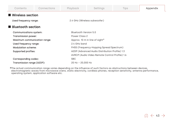| Contents                     | Connections               | Playback                                       | Settings                                       | Tips | Appendix |  |  |  |
|------------------------------|---------------------------|------------------------------------------------|------------------------------------------------|------|----------|--|--|--|
| ■ Wireless section           |                           |                                                |                                                |      |          |  |  |  |
| Used frequency range:        |                           | 2.4 GHz (Wireless subwoofer)                   |                                                |      |          |  |  |  |
| ■ Bluetooth section          |                           |                                                |                                                |      |          |  |  |  |
| Communications system:       |                           | Bluetooth Version 5.0                          |                                                |      |          |  |  |  |
| Transmission power:          |                           | Power Class 2                                  |                                                |      |          |  |  |  |
| Maximum communication range: |                           | Approx. 10 m in line of sight*                 |                                                |      |          |  |  |  |
| Used frequency range:        |                           | 2.4 GHz band                                   |                                                |      |          |  |  |  |
|                              | <b>Modulation scheme:</b> |                                                | FHSS (Frequency-Hopping Spread Spectrum)       |      |          |  |  |  |
|                              | Supported profiles:       |                                                | A2DP (Advanced Audio Distribution Profile) 1.3 |      |          |  |  |  |
|                              |                           | AVRCP (Audio Video Remote Control Profile) 1.6 |                                                |      |          |  |  |  |
| Corresponding codec:         |                           | <b>SBC</b>                                     |                                                |      |          |  |  |  |
| Transmission range (A2DP):   |                           | $20$ Hz $- 20.000$ Hz                          |                                                |      |          |  |  |  |

\*The actual communication range varies depending on the influence of such factors as obstructions between devices, electromagnetic waves from microwave ovens, static electricity, cordless phones, reception sensitivity, antenna performance, operating system, application software etc.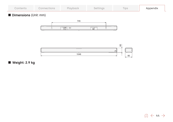| Contents | $\mathcal L$ onnections $\mathcal L$ | Playback | Settings | $-$<br>lips | Appendix |
|----------|--------------------------------------|----------|----------|-------------|----------|
|----------|--------------------------------------|----------|----------|-------------|----------|

# $\blacksquare$  Dimensions (Unit: mm)





 $\blacksquare$  Weight: 2.9 kg

$$
\text{m} \gets 44 \to
$$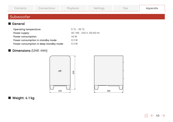<span id="page-44-0"></span>

| Contents                      | Connections | Playback                        | Settings | Tips | Appendix |  |
|-------------------------------|-------------|---------------------------------|----------|------|----------|--|
| Subwoofer                     |             |                                 |          |      |          |  |
| ■ General                     |             |                                 |          |      |          |  |
| <b>Operating temperature:</b> |             | $5^{\circ}$ C - 35 $^{\circ}$ C |          |      |          |  |
| Power supply:                 |             | AC 100 - 240 V, 50/60 Hz        |          |      |          |  |

# $\blacksquare$  Weight: 4.1 kg

**Dimensions (Unit: mm)** 

Power consumption: 40 W Power consumption in standby mode: 0.3 W Power consumption in deep standby mode: 0.3 W